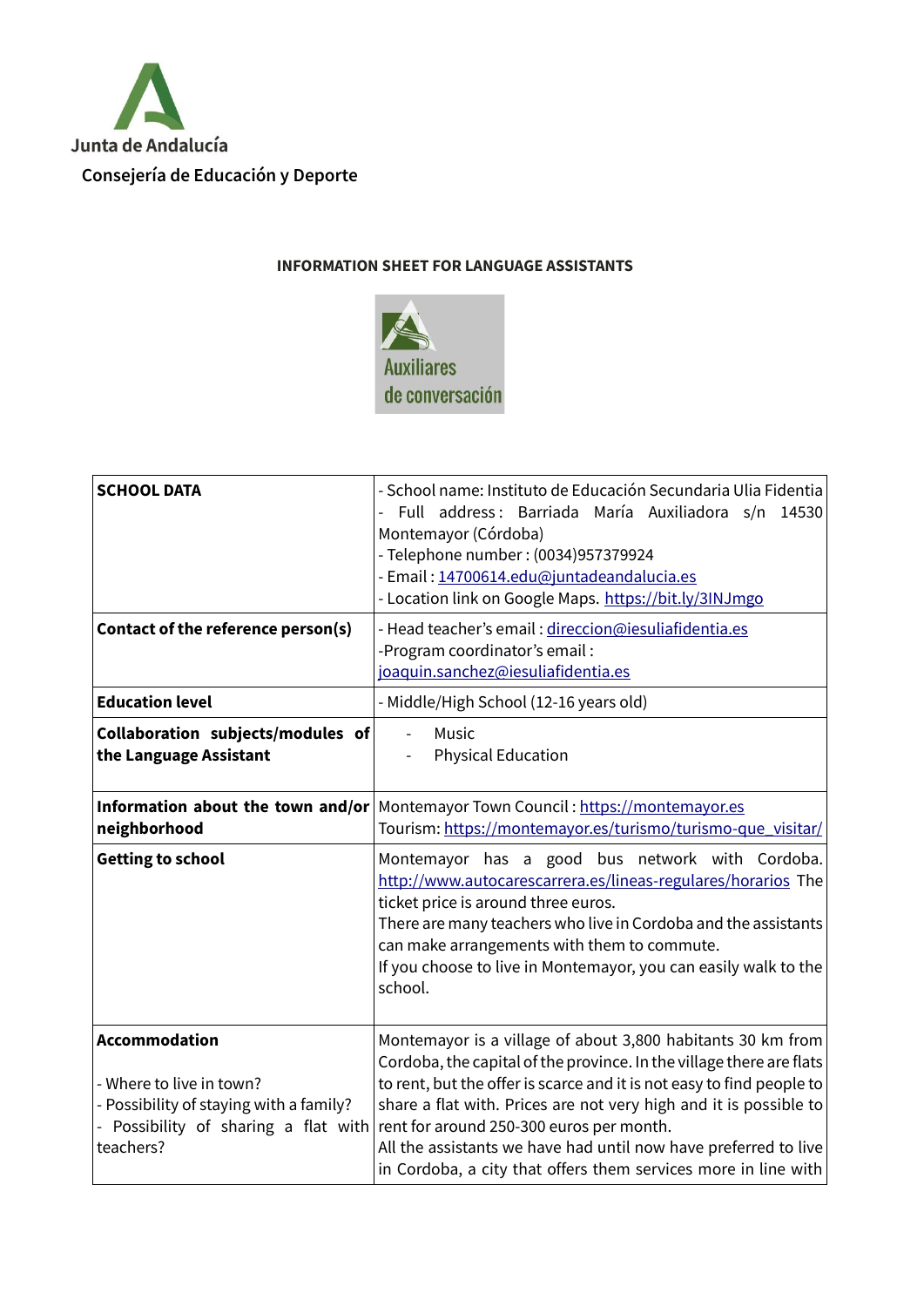

## **INFORMATION SHEET FOR LANGUAGE ASSISTANTS**



| <b>SCHOOL DATA</b>                                                                                                                               | - School name: Instituto de Educación Secundaria Ulia Fidentia<br>Full address: Barriada María Auxiliadora s/n<br>14530<br>Montemayor (Córdoba)<br>- Telephone number: (0034)957379924<br>- Email: 14700614.edu@juntadeandalucia.es<br>- Location link on Google Maps. https://bit.ly/3INJmgo                                                                                                                                                                      |
|--------------------------------------------------------------------------------------------------------------------------------------------------|--------------------------------------------------------------------------------------------------------------------------------------------------------------------------------------------------------------------------------------------------------------------------------------------------------------------------------------------------------------------------------------------------------------------------------------------------------------------|
| Contact of the reference person(s)                                                                                                               | - Head teacher's email: direccion@iesuliafidentia.es<br>-Program coordinator's email:<br>joaquin.sanchez@iesuliafidentia.es                                                                                                                                                                                                                                                                                                                                        |
| <b>Education level</b>                                                                                                                           | - Middle/High School (12-16 years old)                                                                                                                                                                                                                                                                                                                                                                                                                             |
| Collaboration subjects/modules of<br>the Language Assistant                                                                                      | Music<br><b>Physical Education</b>                                                                                                                                                                                                                                                                                                                                                                                                                                 |
| neighborhood                                                                                                                                     | <b>Information about the town and/or</b> Montemayor Town Council: https://montemayor.es<br>Tourism: https://montemayor.es/turismo/turismo-que_visitar/                                                                                                                                                                                                                                                                                                             |
| <b>Getting to school</b>                                                                                                                         | Montemayor has a good bus network with Cordoba.<br>http://www.autocarescarrera.es/lineas-regulares/horarios The<br>ticket price is around three euros.<br>There are many teachers who live in Cordoba and the assistants<br>can make arrangements with them to commute.<br>If you choose to live in Montemayor, you can easily walk to the<br>school.                                                                                                              |
| <b>Accommodation</b><br>- Where to live in town?<br>- Possibility of staying with a family?<br>- Possibility of sharing a flat with<br>teachers? | Montemayor is a village of about 3,800 habitants 30 km from<br>Cordoba, the capital of the province. In the village there are flats<br>to rent, but the offer is scarce and it is not easy to find people to<br>share a flat with. Prices are not very high and it is possible to<br>rent for around 250-300 euros per month.<br>All the assistants we have had until now have preferred to live<br>in Cordoba, a city that offers them services more in line with |